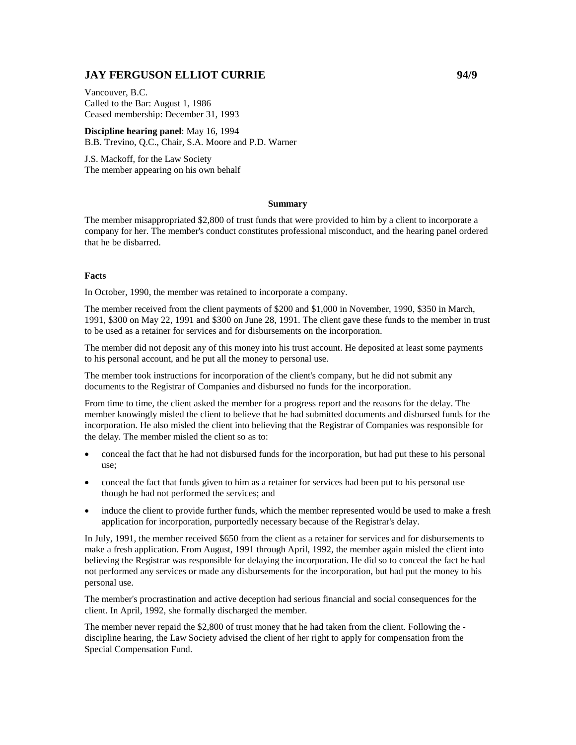# **JAY FERGUSON ELLIOT CURRIE 94/9**

Vancouver, B.C. Called to the Bar: August 1, 1986 Ceased membership: December 31, 1993

**Discipline hearing panel**: May 16, 1994 B.B. Trevino, Q.C., Chair, S.A. Moore and P.D. Warner

J.S. Mackoff, for the Law Society The member appearing on his own behalf

#### **Summary**

The member misappropriated \$2,800 of trust funds that were provided to him by a client to incorporate a company for her. The member's conduct constitutes professional misconduct, and the hearing panel ordered that he be disbarred.

#### **Facts**

In October, 1990, the member was retained to incorporate a company.

The member received from the client payments of \$200 and \$1,000 in November, 1990, \$350 in March, 1991, \$300 on May 22, 1991 and \$300 on June 28, 1991. The client gave these funds to the member in trust to be used as a retainer for services and for disbursements on the incorporation.

The member did not deposit any of this money into his trust account. He deposited at least some payments to his personal account, and he put all the money to personal use.

The member took instructions for incorporation of the client's company, but he did not submit any documents to the Registrar of Companies and disbursed no funds for the incorporation.

From time to time, the client asked the member for a progress report and the reasons for the delay. The member knowingly misled the client to believe that he had submitted documents and disbursed funds for the incorporation. He also misled the client into believing that the Registrar of Companies was responsible for the delay. The member misled the client so as to:

- conceal the fact that he had not disbursed funds for the incorporation, but had put these to his personal use;
- conceal the fact that funds given to him as a retainer for services had been put to his personal use though he had not performed the services; and
- induce the client to provide further funds, which the member represented would be used to make a fresh application for incorporation, purportedly necessary because of the Registrar's delay.

In July, 1991, the member received \$650 from the client as a retainer for services and for disbursements to make a fresh application. From August, 1991 through April, 1992, the member again misled the client into believing the Registrar was responsible for delaying the incorporation. He did so to conceal the fact he had not performed any services or made any disbursements for the incorporation, but had put the money to his personal use.

The member's procrastination and active deception had serious financial and social consequences for the client. In April, 1992, she formally discharged the member.

The member never repaid the \$2,800 of trust money that he had taken from the client. Following the discipline hearing, the Law Society advised the client of her right to apply for compensation from the Special Compensation Fund.